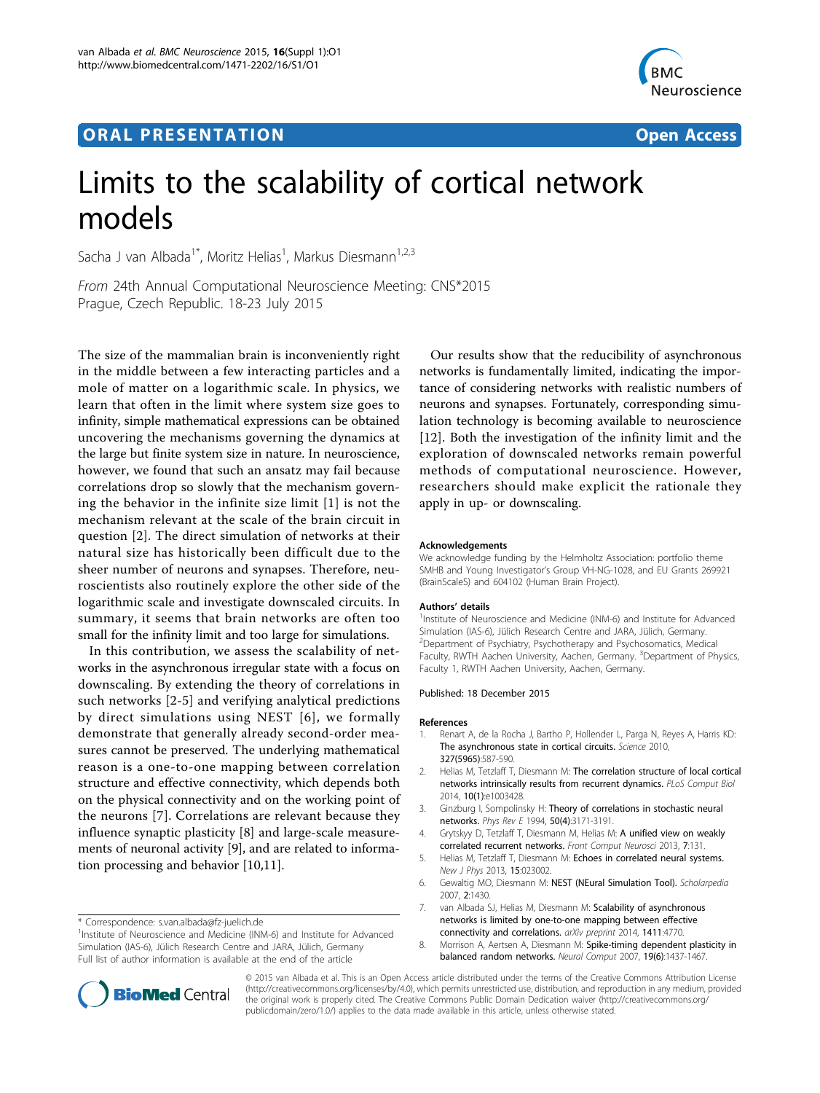## **ORAL PRESENTATION OPEN ACCESS**



# Limits to the scalability of cortical network models

Sacha J van Albada<sup>1\*</sup>, Moritz Helias<sup>1</sup>, Markus Diesmann<sup>1,2,3</sup>

From 24th Annual Computational Neuroscience Meeting: CNS\*2015 Prague, Czech Republic. 18-23 July 2015

The size of the mammalian brain is inconveniently right in the middle between a few interacting particles and a mole of matter on a logarithmic scale. In physics, we learn that often in the limit where system size goes to infinity, simple mathematical expressions can be obtained uncovering the mechanisms governing the dynamics at the large but finite system size in nature. In neuroscience, however, we found that such an ansatz may fail because correlations drop so slowly that the mechanism governing the behavior in the infinite size limit [1] is not the mechanism relevant at the scale of the brain circuit in question [2]. The direct simulation of networks at their natural size has historically been difficult due to the sheer number of neurons and synapses. Therefore, neuroscientists also routinely explore the other side of the logarithmic scale and investigate downscaled circuits. In summary, it seems that brain networks are often too small for the infinity limit and too large for simulations.

In this contribution, we assess the scalability of networks in the asynchronous irregular state with a focus on downscaling. By extending the theory of correlations in such networks [2-5] and verifying analytical predictions by direct simulations using NEST [6], we formally demonstrate that generally already second-order measures cannot be preserved. The underlying mathematical reason is a one-to-one mapping between correlation structure and effective connectivity, which depends both on the physical connectivity and on the working point of the neurons [7]. Correlations are relevant because they influence synaptic plasticity [8] and large-scale measurements of neuronal activity [\[9](#page-1-0)], and are related to information processing and behavior [[10](#page-1-0),[11](#page-1-0)].

Our results show that the reducibility of asynchronous networks is fundamentally limited, indicating the importance of considering networks with realistic numbers of neurons and synapses. Fortunately, corresponding simulation technology is becoming available to neuroscience [[12\]](#page-1-0). Both the investigation of the infinity limit and the exploration of downscaled networks remain powerful methods of computational neuroscience. However, researchers should make explicit the rationale they apply in up- or downscaling.

#### Acknowledgements

We acknowledge funding by the Helmholtz Association: portfolio theme SMHB and Young Investigator's Group VH-NG-1028, and EU Grants 269921 (BrainScaleS) and 604102 (Human Brain Project).

#### Authors' details <sup>1</sup>

<sup>1</sup>Institute of Neuroscience and Medicine (INM-6) and Institute for Advanced Simulation (IAS-6), Jülich Research Centre and JARA, Jülich, Germany. <sup>2</sup> Department of Psychiatry, Psychotherapy and Psychosomatics, Medical Faculty, RWTH Aachen University, Aachen, Germany. <sup>3</sup>Department of Physics Faculty 1, RWTH Aachen University, Aachen, Germany.

#### Published: 18 December 2015

#### References

- 1. Renart A, de la Rocha J, Bartho P, Hollender L, Parga N, Reyes A, Harris KD: The asynchronous state in cortical circuits. Science 2010, 327(5965):587-590.
- 2. Helias M, Tetzlaff T, Diesmann M: The correlation structure of local cortical networks intrinsically results from recurrent dynamics. PLoS Comput Biol 2014, 10(1):e1003428.
- 3. Ginzburg I, Sompolinsky H: Theory of correlations in stochastic neural networks. Phys Rev E 1994, 50(4):3171-3191.
- 4. Grytskyy D, Tetzlaff T, Diesmann M, Helias M: A unified view on weakly correlated recurrent networks. Front Comput Neurosci 2013, 7:131.
- 5. Helias M, Tetzlaff T, Diesmann M: Echoes in correlated neural systems. New J Phys 2013, 15:023002.
- 6. Gewaltig MO, Diesmann M: NEST (NEural Simulation Tool). Scholarpedia 2007, 2:1430.
- 7. van Albada SJ, Helias M, Diesmann M: Scalability of asynchronous networks is limited by one-to-one mapping between effective connectivity and correlations. arXiv preprint 2014, 1411:4770.
- 8. Morrison A, Aertsen A, Diesmann M: Spike-timing dependent plasticity in balanced random networks. Neural Comput 2007, 19(6):1437-1467.



© 2015 van Albada et al. This is an Open Access article distributed under the terms of the Creative Commons Attribution License [\(http://creativecommons.org/licenses/by/4.0](http://creativecommons.org/licenses/by/4.0)), which permits unrestricted use, distribution, and reproduction in any medium, provided the original work is properly cited. The Creative Commons Public Domain Dedication waiver ([http://creativecommons.org/](http://creativecommons.org/publicdomain/zero/1.0/) [publicdomain/zero/1.0/](http://creativecommons.org/publicdomain/zero/1.0/)) applies to the data made available in this article, unless otherwise stated.

<sup>\*</sup> Correspondence: [s.van.albada@fz-juelich.de](mailto:s.van.albada@fz-juelich.de)

<sup>&</sup>lt;sup>1</sup> Institute of Neuroscience and Medicine (INM-6) and Institute for Advanced Simulation (IAS-6), Jülich Research Centre and JARA, Jülich, Germany Full list of author information is available at the end of the article